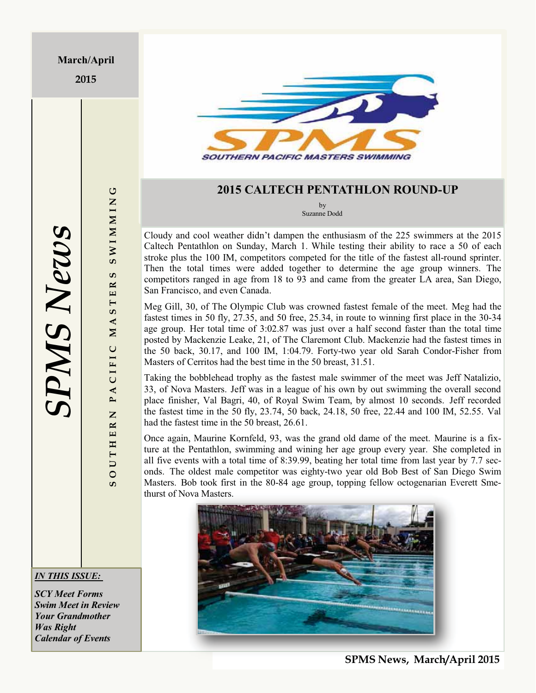**2015**



### **2015 CALTECH PENTATHLON ROUND-UP**

by Suzanne Dodd

Cloudy and cool weather didn't dampen the enthusiasm of the 225 swimmers at the 2015 Caltech Pentathlon on Sunday, March 1. While testing their ability to race a 50 of each stroke plus the 100 IM, competitors competed for the title of the fastest all-round sprinter. Then the total times were added together to determine the age group winners. The competitors ranged in age from 18 to 93 and came from the greater LA area, San Diego, San Francisco, and even Canada.

Meg Gill, 30, of The Olympic Club was crowned fastest female of the meet. Meg had the fastest times in 50 fly, 27.35, and 50 free, 25.34, in route to winning first place in the 30-34 age group. Her total time of 3:02.87 was just over a half second faster than the total time posted by Mackenzie Leake, 21, of The Claremont Club. Mackenzie had the fastest times in the 50 back, 30.17, and 100 IM, 1:04.79. Forty-two year old Sarah Condor-Fisher from Masters of Cerritos had the best time in the 50 breast, 31.51.

Taking the bobblehead trophy as the fastest male swimmer of the meet was Jeff Natalizio, 33, of Nova Masters. Jeff was in a league of his own by out swimming the overall second place finisher, Val Bagri, 40, of Royal Swim Team, by almost 10 seconds. Jeff recorded the fastest time in the 50 fly, 23.74, 50 back, 24.18, 50 free, 22.44 and 100 IM, 52.55. Val had the fastest time in the 50 breast, 26.61.

Once again, Maurine Kornfeld, 93, was the grand old dame of the meet. Maurine is a fixture at the Pentathlon, swimming and wining her age group every year. She completed in all five events with a total time of 8:39.99, beating her total time from last year by 7.7 seconds. The oldest male competitor was eighty-two year old Bob Best of San Diego Swim Masters. Bob took first in the 80-84 age group, topping fellow octogenarian Everett Smethurst of Nova Masters.



**S O U T H E R N P A C I F I C M A S T E R S S W I M M I N G**

PACIFIC

 $\overline{z}$  $\overline{\mathbf{z}}$ 

**OUTHE** 

 $\sigma$ 

U

**SWIMMIN** 

ဖာ  $\overline{\mathbf{R}}$ .<br>ш  $5T$  $\blacktriangleleft$  $\mathbf{N}$ 

### *IN THIS ISSUE:*

*SCY Meet Forms Swim Meet in Review Your Grandmother Was Right Calendar of Events*

**SPMS News, March/April 2015**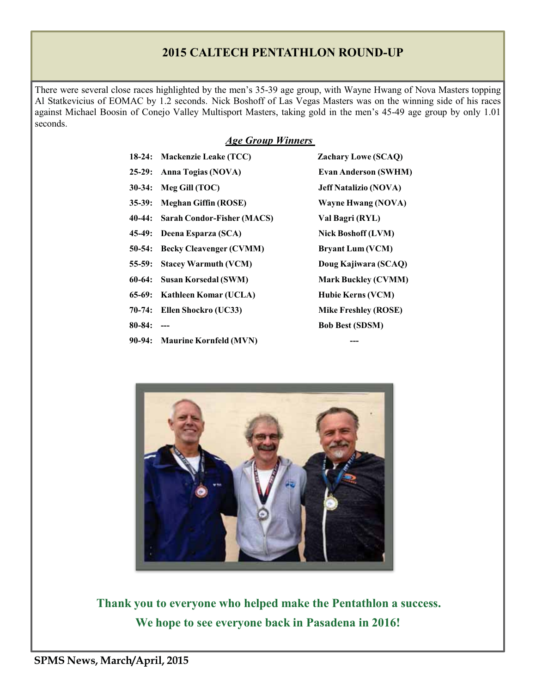### **2015 CALTECH PENTATHLON ROUND-UP**

There were several close races highlighted by the men's 35-39 age group, with Wayne Hwang of Nova Masters topping Al Statkevicius of EOMAC by 1.2 seconds. Nick Boshoff of Las Vegas Masters was on the winning side of his races against Michael Boosin of Conejo Valley Multisport Masters, taking gold in the men's 45-49 age group by only 1.01 seconds.

### *Age Group Winners*

- **18-24: Mackenzie Leake (TCC) Zachary Lowe (SCAQ)**
- **25-29: Anna Togias (NOVA) Evan Anderson (SWHM)**
- **30-34: Meg Gill (TOC) Jeff Natalizio (NOVA)**
- **35-39: Meghan Giffin (ROSE) Wayne Hwang (NOVA)**
- **40-44: Sarah Condor-Fisher (MACS) Val Bagri (RYL)**
- 45-49: Deena Esparza (SCA) Nick Boshoff (LVM)
- **50-54: Becky Cleavenger (CVMM) Bryant Lum (VCM)**
- 
- 
- **65-69: Kathleen Komar (UCLA) Hubie Kerns (VCM)**
- **70-74: Ellen Shockro (UC33) Mike Freshley (ROSE)**
- 
- **90-94:** Maurine Kornfeld (MVN)

**55-59: Stacey Warmuth (VCM) Doug Kajiwara (SCAQ) 60-64: Susan Korsedal (SWM) Mark Buckley (CVMM) 80-84: --- Bob Best (SDSM)**



**Thank you to everyone who helped make the Pentathlon a success. We hope to see everyone back in Pasadena in 2016!**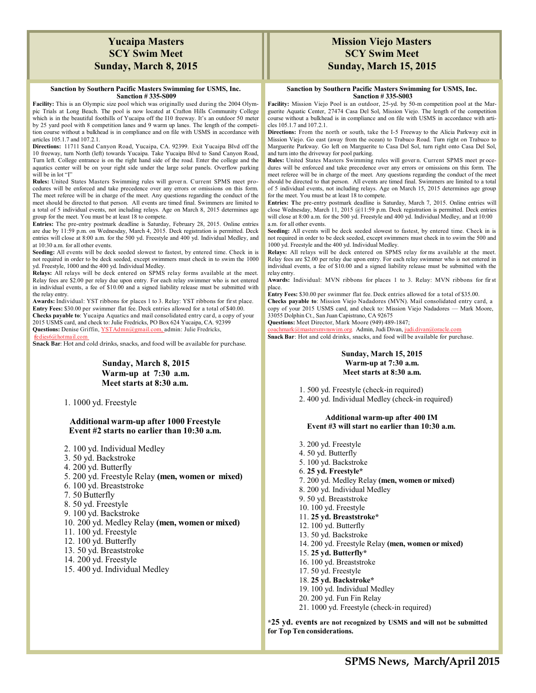### **Yucaipa Masters SCY Swim Meet Sunday, March 8, 2015**

### **Sanction by Southern Pacific Masters Swimming for USMS, Inc. Sanction # 335-S009**

**Facility:** This is an Olympic size pool which was originally used during the 2004 Olympic Trials at Long Beach. The pool is now located at Crafton Hills Community College which is in the beautiful foothills of Yucaipa off the I10 freeway. It's an outdoor 50 meter by 25 yard pool with 8 competition lanes and 9 warm up lanes. The length of the competition course without a bulkhead is in compliance and on file with USMS in accordance with articles 105.1.7 and 107.2.1.

**Directions:** 11711 Sand Canyon Road, Yucaipa, CA. 92399. Exit Yucaipa Blvd off the 10 freeway, turn North (left) towards Yucaipa. Take Yucaipa Blvd to Sand Canyon Road, Turn left. College entrance is on the right hand side of the road. Enter the college and the aquatics center will be on your right side under the large solar panels. Overflow parking will be in lot "I"

**Rules:** United States Masters Swimming rules will gover n. Current SPMS meet procedures will be enforced and take precedence over any errors or omissions on this form. The meet referee will be in charge of the meet. Any questions regarding the conduct of the meet should be directed to that person. All events are timed final. Swimmers are limited to a total of 5 individual events, not including relays. Age on March 8, 2015 determines age group for the meet. You must be at least 18 to compete.

**Entries:** The pre-entry postmark deadline is Saturday, February 28, 2015. Online entries are due by 11:59 p.m. on Wednesday, March 4, 2015. Deck registration is permitted. Deck entries will close at 8:00 a.m. for the 500 yd. Freestyle and 400 yd. Individual Medley, and at 10:30 a.m. for all other events.

**Seeding:** All events will be deck seeded slowest to fastest, by entered time. Check in is not required in order to be deck seeded, except swimmers must check in to swim the 1000 yd. Freestyle, 1000 and the 400 yd. Individual Medley.

**Relays:** All relays will be deck entered on SPMS relay forms available at the meet. Relay fees are \$2.00 per relay due upon entry. For each relay swimmer who is not entered in individual events, a fee of \$10.00 and a signed liability release must be submitted with the relay entry.

**Awards:** Individual: YST ribbons for places 1 to 3. Relay: YST ribbons for first place. **Entry Fees:** \$30.00 per swimmer flat fee. Deck entries allowed for a total of \$40.00. **Checks payable to**: Yucaipa Aquatics and mail consolidated entry car d, a copy of your 2015 USMS card, and check to: Julie Fredricks, PO Box 624 Yucaipa, CA. 92399 Questions: Denise Griffin, YSTAdmn@gmail.com, admin: Julie Fredricks,

<u>fe dies6@hot mail.com</u>

**Snack Bar**: Hot and cold drinks, snacks, and food will be available for purchase.

### **Sunday, March 8, 2015 Warm-up at 7:30 a.m. Meet starts at 8:30 a.m.**

1. 1000 yd. Freestyle

### **Additional warm-up after 1000 Freestyle Event #2 starts no earlier than 10:30 a.m.**

- 2. 100 yd. Individual Medley
- 3. 50 yd. Backstroke
- 4. 200 yd. Butterfly
- 5. 200 yd. Freestyle Relay **(men, women or mixed)**
- 6. 100 yd. Breaststroke
- 7. 50 Butterfly
- 8. 50 yd. Freestyle
- 9. 100 yd. Backstroke
- 10. 200 yd. Medley Relay **(men, women or mixed)**
- 11. 100 yd. Freestyle
- 12. 100 yd. Butterfly
- 13. 50 yd. Breaststroke
- 14. 200 yd. Freestyle
- 15. 400 yd. Individual Medley

### **Mission Viejo Masters SCY Swim Meet Sunday, March 15, 2015**

### **Sanction by Southern Pacific Masters Swimming for USMS, Inc. Sanction # 335-S003**

**Facility:** Mission Viejo Pool is an outdoor, 25-yd. by 50-m competition pool at the Marguerite Aquatic Center, 27474 Casa Del Sol, Mission Viejo. The length of the competition course without a bulkhead is in compliance and on file with USMS in accordance with articles 105.1.7 and 107.2.1.

**Directions:** From the north or south, take the I-5 Freeway to the Alicia Parkway exit in Mission Viejo. Go east (away from the ocean) to Trabuco Road. Turn right on Trabuco to Marguerite Parkway. Go left on Marguerite to Casa Del Sol, turn right onto Casa Del Sol, and turn into the driveway for pool parking.

**Rules:** United States Masters Swimming rules will gover n. Current SPMS meet pr ocedures will be enforced and take precedence over any errors or omissions on this form. The meet referee will be in charge of the meet. Any questions regarding the conduct of the meet should be directed to that person. All events are timed final. Swimmers are limited to a total of 5 individual events, not including relays. Age on March 15, 2015 determines age group for the meet. You must be at least 18 to compete.

**Entries: T**he pre-entry postmark deadline is Saturday, March 7, 2015. Online entries will close Wednesday, March 11, 2015 @11:59 p.m. Deck registration is permitted. Deck entries will close at 8:00 a.m. for the 500 yd. Freestyle and 400 yd. Individual Medley, and at 10:00 a.m. for all other events.

**Seeding:** All events will be deck seeded slowest to fastest, by entered time. Check in is not required in order to be deck seeded, except swimmers must check in to swim the 500 and 1000 yd. Freestyle and the 400 yd. Individual Medley.

**Relays:** All relays will be deck entered on SPMS relay for ms available at the meet. Relay fees are \$2.00 per relay due upon entry. For each relay swimmer who is not entered in individual events, a fee of \$10.00 and a signed liability release must be submitted with the relay entry.

**Awards:** Individual: MVN ribbons for places 1 to 3. Relay: MVN ribbons for fir st place.

**Entry Fees:** \$30.00 per swimmer flat fee. Deck entries allowed for a total of \$35.00. **Checks payable to**: Mission Viejo Nadadores (MVN). Mail consolidated entry card, a copy of your 2015 USMS card, and check to: Mission Viejo Nadadores — Mark Moore, 33055 Dolphin Ct., San Juan Capistrano, CA 92675

**Questions:** Meet Director, Mark Moore (949) 489-1847;

comastersmynswim.org. Admin, Judi Divan, judi.divan@oracle.com **Snack Bar**: Hot and cold drinks, snacks, and food will be available for purchase.

### **Sunday, March 15, 2015 Warm-up at 7:30 a.m. Meet starts at 8:30 a.m.**

1. 500 yd. Freestyle (check-in required)

2. 400 yd. Individual Medley (check-in required)

### **Additional warm-up after 400 IM Event #3 will start no earlier than 10:30 a.m.**

- 3. 200 yd. Freestyle
- 4. 50 yd. Butterfly
- 5. 100 yd. Backstroke
- 6. **25 yd. Freestyle\***
- 7. 200 yd. Medley Relay **(men, women or mixed)**
- 8. 200 yd. Individual Medley
- 9. 50 yd. Breaststroke
- 10. 100 yd. Freestyle
- 11. **25 yd. Breaststroke\***
- 12. 100 yd. Butterfly
- 13. 50 yd. Backstroke
- 14. 200 yd. Freestyle Relay **(men, women or mixed)**
- 15. **25 yd. Butterfly\***
- 16. 100 yd. Breaststroke
- 17. 50 yd. Freestyle
- 18. **25 yd. Backstroke\***
- 19. 100 yd. Individual Medley
- 20. 200 yd. Fun Fin Relay
- 21. 1000 yd. Freestyle (check-in required)

**\*25 yd. events are not recognized by USMS and will not be submitted for Top Ten considerations.**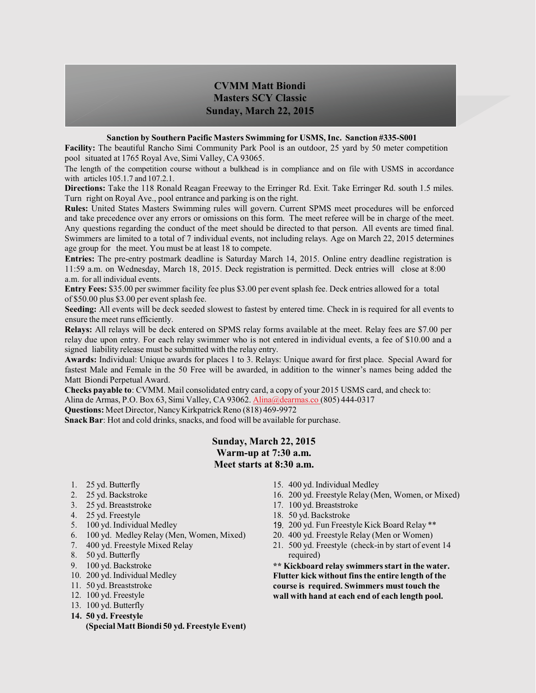### **CVMM Matt Biondi Masters SCY Classic Sunday, March 22, 2015**

### **Sanction by Southern Pacific Masters Swimming for USMS, Inc. Sanction #335-S001**

**Facility:** The beautiful Rancho Simi Community Park Pool is an outdoor, 25 yard by 50 meter competition pool situated at 1765 Royal Ave, Simi Valley, CA 93065.

The length of the competition course without a bulkhead is in compliance and on file with USMS in accordance with articles 105.1.7 and 107.2.1.

**Directions:** Take the 118 Ronald Reagan Freeway to the Erringer Rd. Exit. Take Erringer Rd. south 1.5 miles. Turn right on Royal Ave., pool entrance and parking is on the right.

**Rules:** United States Masters Swimming rules will govern. Current SPMS meet procedures will be enforced and take precedence over any errors or omissions on this form. The meet referee will be in charge of the meet. Any questions regarding the conduct of the meet should be directed to that person. All events are timed final. Swimmers are limited to a total of 7 individual events, not including relays. Age on March 22, 2015 determines age group for the meet. You must be at least 18 to compete.

**Entries:** The pre-entry postmark deadline is Saturday March 14, 2015. Online entry deadline registration is 11:59 a.m. on Wednesday, March 18, 2015. Deck registration is permitted. Deck entries will close at 8:00 a.m. for all individual events.

**Entry Fees:** \$35.00 per swimmer facility fee plus \$3.00 per event splash fee. Deck entries allowed for a total of \$50.00 plus \$3.00 per event splash fee.

**Seeding:** All events will be deck seeded slowest to fastest by entered time. Check in is required for all events to ensure the meet runs efficiently.

**Relays:** All relays will be deck entered on SPMS relay forms available at the meet. Relay fees are \$7.00 per relay due upon entry. For each relay swimmer who is not entered in individual events, a fee of \$10.00 and a signed liability release must be submitted with the relay entry.

**Awards:** Individual: Unique awards for places 1 to 3. Relays: Unique award for first place. Special Award for fastest Male and Female in the 50 Free will be awarded, in addition to the winner's names being added the Matt Biondi Perpetual Award.

**Checks payable to**: CVMM. Mail consolidated entry card, a copy of your 2015 USMS card, and check to: Alina de Armas, P.O. Box 63, Simi Valley, CA 93062. Alina@dearmas.co (805) 444-0317

**Questions:** Meet Director, Nancy Kirkpatrick Reno (818) 469-9972

**Snack Bar**: Hot and cold drinks, snacks, and food will be available for purchase.

### **Sunday, March 22, 2015 Warm-up at 7:30 a.m. Meet starts at 8:30 a.m.**

- 1. 25 yd. Butterfly
- 2. 25 yd. Backstroke
- 3. 25 yd. Breaststroke
- 4. 25 yd. Freestyle
- 5. 100 yd. Individual Medley
- 6. 100 yd. Medley Relay (Men, Women, Mixed)
- 7. 400 yd. Freestyle Mixed Relay
- 8. 50 yd. Butterfly
- 9. 100 yd. Backstroke
- 10. 200 yd. Individual Medley
- 11. 50 yd. Breaststroke
- 12. 100 yd. Freestyle
- 13. 100 yd. Butterfly
- **14. 50 yd. Freestyle**

### **(Special Matt Biondi 50 yd. Freestyle Event)**

- 15. 400 yd. Individual Medley
- 16. 200 yd. Freestyle Relay (Men, Women, or Mixed)
- 17. 100 yd. Breaststroke
- 18. 50 yd. Backstroke
- 200 yd. Fun Freestyle Kick Board Relay \*\*
- 20. 400 yd. Freestyle Relay (Men or Women)
- 21. 500 yd. Freestyle (check-in by start of event 14 required)

**\*\* Kickboard relay swimmers start in the water. Flutter kick without fins the entire length of the course is required. Swimmers must touch the wall with hand at each end of each length pool.**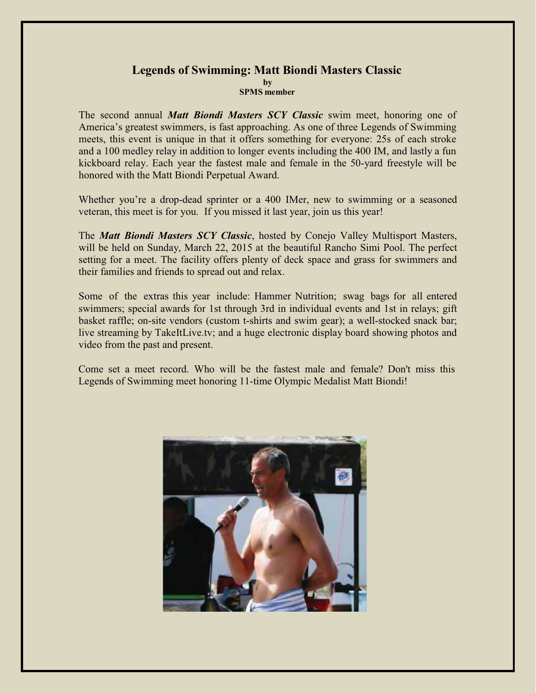### **Legends of Swimming: Matt Biondi Masters Classic by SPMS member**

The second annual *Matt Biondi Masters SCY Classic* swim meet, honoring one of America's greatest swimmers, is fast approaching. As one of three Legends of Swimming meets, this event is unique in that it offers something for everyone: 25s of each stroke and a 100 medley relay in addition to longer events including the 400 IM, and lastly a fun kickboard relay. Each year the fastest male and female in the 50-yard freestyle will be honored with the Matt Biondi Perpetual Award.

Whether you're a drop-dead sprinter or a 400 IMer, new to swimming or a seasoned veteran, this meet is for you. If you missed it last year, join us this year!

The *Matt Biondi Masters SCY Classic*, hosted by Conejo Valley Multisport Masters, will be held on Sunday, March 22, 2015 at the beautiful Rancho Simi Pool. The perfect setting for a meet. The facility offers plenty of deck space and grass for swimmers and their families and friends to spread out and relax.

Some of the extras this year include: Hammer Nutrition; swag bags for all entered swimmers; special awards for 1st through 3rd in individual events and 1st in relays; gift basket raffle; on-site vendors (custom t-shirts and swim gear); a well-stocked snack bar; live streaming by TakeItLive.tv; and a huge electronic display board showing photos and video from the past and present.

Come set a meet record. Who will be the fastest male and female? Don't miss this Legends of Swimming meet honoring 11-time Olympic Medalist Matt Biondi!

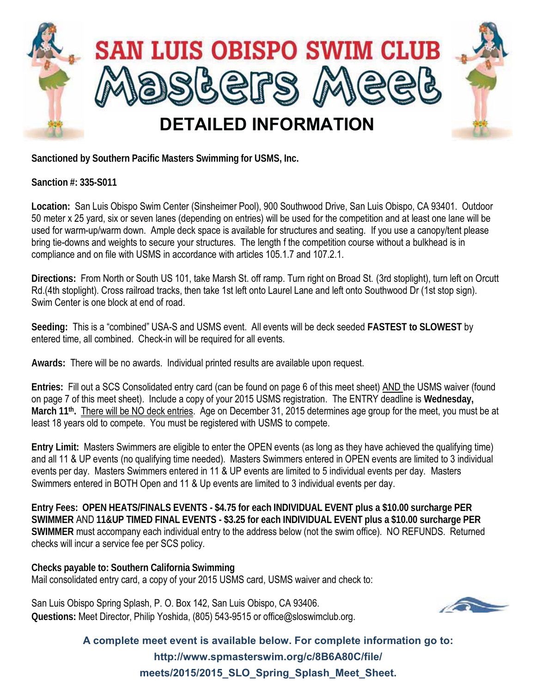

**Sanctioned by Southern Pacific Masters Swimming for USMS, Inc.**

**Sanction #: 335-S011**

**Location:** San Luis Obispo Swim Center (Sinsheimer Pool), 900 Southwood Drive, San Luis Obispo, CA 93401. Outdoor 50 meter x 25 yard, six or seven lanes (depending on entries) will be used for the competition and at least one lane will be used for warm-up/warm down. Ample deck space is available for structures and seating. If you use a canopy/tent please bring tie-downs and weights to secure your structures. The length f the competition course without a bulkhead is in compliance and on file with USMS in accordance with articles 105.1.7 and 107.2.1.

**Directions:** From North or South US 101, take Marsh St. off ramp. Turn right on Broad St. (3rd stoplight), turn left on Orcutt Rd.(4th stoplight). Cross railroad tracks, then take 1st left onto Laurel Lane and left onto Southwood Dr (1st stop sign). Swim Center is one block at end of road.

**Seeding:** This is a "combined" USA-S and USMS event. All events will be deck seeded **FASTEST to SLOWEST** by entered time, all combined. Check-in will be required for all events.

**Awards:** There will be no awards. Individual printed results are available upon request.

**Entries:** Fill out a SCS Consolidated entry card (can be found on page 6 of this meet sheet) AND the USMS waiver (found on page 7 of this meet sheet). Include a copy of your 2015 USMS registration. The ENTRY deadline is **Wednesday, March 11th.** There will be NO deck entries. Age on December 31, 2015 determines age group for the meet, you must be at least 18 years old to compete. You must be registered with USMS to compete.

**Entry Limit:** Masters Swimmers are eligible to enter the OPEN events (as long as they have achieved the qualifying time) and all 11 & UP events (no qualifying time needed). Masters Swimmers entered in OPEN events are limited to 3 individual events per day. Masters Swimmers entered in 11 & UP events are limited to 5 individual events per day. Masters Swimmers entered in BOTH Open and 11 & Up events are limited to 3 individual events per day.

**Entry Fees: OPEN HEATS/FINALS EVENTS - \$4.75 for each INDIVIDUAL EVENT plus a \$10.00 surcharge PER SWIMMER** AND **11&UP TIMED FINAL EVENTS - \$3.25 for each INDIVIDUAL EVENT plus a \$10.00 surcharge PER SWIMMER** must accompany each individual entry to the address below (not the swim office). NO REFUNDS. Returned checks will incur a service fee per SCS policy.

**Checks payable to: Southern California Swimming** Mail consolidated entry card, a copy of your 2015 USMS card, USMS waiver and check to:

San Luis Obispo Spring Splash, P. O. Box 142, San Luis Obispo, CA 93406. **Questions:** Meet Director, Philip Yoshida, (805) 543-9515 or office@sloswimclub.org.



**A complete meet event is available below. For complete information go to: http://www.spmasterswim.org/c/8B6A80C/file/ meets/2015/2015\_SLO\_Spring\_Splash\_Meet\_Sheet.**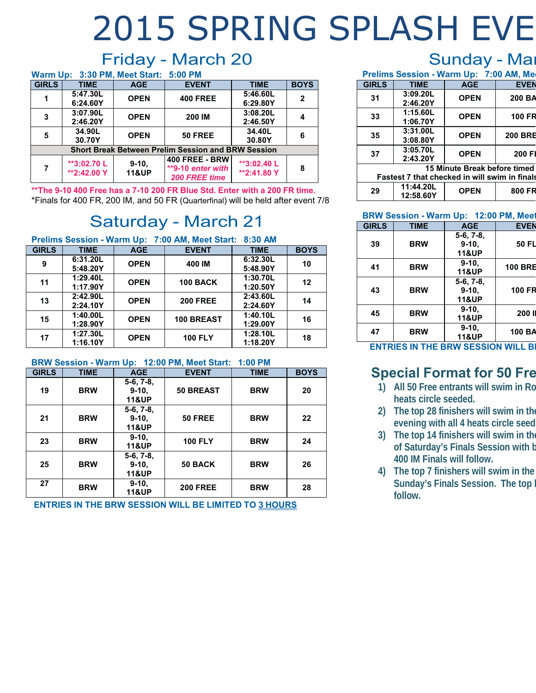# **FRIDAY, March 20: SUNDAY, March 22:** Friday - March 20 2015 SPRING SPLASH EVE

|                                                           |                            | Warm Up: 3:30 PM, Meet Start: 5:00 PM |                                                             |                            |                |
|-----------------------------------------------------------|----------------------------|---------------------------------------|-------------------------------------------------------------|----------------------------|----------------|
| <b>GIRLS</b>                                              | <b>TIME</b>                | <b>AGE</b>                            | <b>EVENT</b>                                                | <b>TIME</b>                | <b>BOYS</b>    |
|                                                           | 5:47.30L<br>6:24.60Y       | <b>OPEN</b>                           | <b>400 FREE</b>                                             | 5:46.60L<br>6:29.80Y       | $\overline{2}$ |
| 3                                                         | 3:07.90L<br>2:46.20Y       | <b>OPEN</b>                           | <b>200 IM</b>                                               | 3:08.20L<br>2:46.50Y       |                |
| 5                                                         | 34.90L<br>30.70Y           | <b>OPEN</b>                           | <b>50 FREE</b>                                              | 34.40L<br>30.80Y           | 6              |
| <b>Short Break Between Prelim Session and BRW Session</b> |                            |                                       |                                                             |                            |                |
| 7                                                         | **3:02.70 L<br>**2:42.00 Y | $9-10$<br><b>11&amp;UP</b>            | <b>400 FREE - BRW</b><br>**9-10 enter with<br>200 FREE time | **3:02.40 L<br>**2:41.80 Y | 8              |

**\*\*The 9-10 400 Free has a 7-10 200 FR Blue Std. Enter with a 200 FR time.** \*Finals for 400 FR, 200 IM, and 50 FR (Quarterfinal) will be held after event 7/8

# Saturday - March 21

| Prelims Session - Warm Up: 7:00 AM, Meet Start: 8:30 AM |  |  |
|---------------------------------------------------------|--|--|
|                                                         |  |  |

| <b>GIRLS</b> | <b>TIME</b> | <b>AGE</b>  | <b>EVENT</b>    | <b>TIME</b> | <b>BOYS</b> |
|--------------|-------------|-------------|-----------------|-------------|-------------|
| 9            | 6:31.20L    | <b>OPEN</b> | 400 IM          | 6:32.30L    | 10          |
|              | 5:48.20Y    |             |                 | 5:48.90Y    |             |
| 11           | 1:29.40L    | <b>OPEN</b> | <b>100 BACK</b> | 1:30.70L    | 12          |
|              | 1:17.90Y    |             |                 | 1:20.50Y    |             |
| 13           | 2:42.90L    | <b>OPEN</b> | <b>200 FREE</b> | 2:43.60L    | 14          |
|              | 2:24.10Y    |             |                 | 2:24.60Y    |             |
| 15           | 1:40.00L    | <b>OPEN</b> | 100 BREAST      | 1:40.10L    | 16          |
|              | 1:28.90Y    |             |                 | 1:29.00Y    |             |
| 17           | 1:27.30L    | <b>OPEN</b> | <b>100 FLY</b>  | 1:28.10L    | 18          |
|              | 1:16.10Y    |             |                 | 1:18.20Y    |             |

### **BRW Session - Warm Up: 12:00 PM, Meet Start: 1:00 PM**

| <b>GIRLS</b> | <b>TIME</b> | <b>AGE</b>                                 | <b>EVENT</b>     | <b>TIME</b> | <b>BOYS</b> |
|--------------|-------------|--------------------------------------------|------------------|-------------|-------------|
| 19           | <b>BRW</b>  | $5-6, 7-8,$<br>$9-10.$<br><b>11&amp;UP</b> | <b>50 BREAST</b> | <b>BRW</b>  | 20          |
| 21           | <b>BRW</b>  | $5-6, 7-8,$<br>$9-10,$<br><b>11&amp;UP</b> | <b>50 FREE</b>   | <b>BRW</b>  | 22          |
| 23           | <b>BRW</b>  | $9-10,$<br><b>11&amp;UP</b>                | <b>100 FLY</b>   | <b>BRW</b>  | 24          |
| 25           | <b>BRW</b>  | $5-6, 7-8,$<br>$9-10,$<br><b>11&amp;UP</b> | 50 BACK          | <b>BRW</b>  | 26          |
| 27           | <b>BRW</b>  | $9-10,$<br><b>11&amp;UP</b>                | <b>200 FREE</b>  | <b>BRW</b>  | 28          |

**ENTRIES IN THE BRW SESSION WILL BE LIMITED TO 3 HOURS**

## Sunday - Mar

| Prelims Session - Warm Up: 7:00 AM, Me               |             |             |                |  |
|------------------------------------------------------|-------------|-------------|----------------|--|
| <b>GIRLS</b>                                         | <b>TIME</b> | <b>AGE</b>  | <b>EVEN</b>    |  |
| 31                                                   | 3:09.20L    | <b>OPEN</b> | 200 BA         |  |
|                                                      | 2:46.20Y    |             |                |  |
| 33                                                   | 1:15.60L    | <b>OPEN</b> | <b>100 FR</b>  |  |
|                                                      | 1:06.70Y    |             |                |  |
| 35                                                   | 3:31.00L    | <b>OPEN</b> | <b>200 BRE</b> |  |
|                                                      | 3:08.80Y    |             |                |  |
| 37                                                   | 3:05.70L    | <b>OPEN</b> | 200 FI         |  |
|                                                      | 2:43.20Y    |             |                |  |
| 15 Minute Break before timed                         |             |             |                |  |
| <b>Fastest 7 that checked in will swim in finals</b> |             |             |                |  |

| 29 | 11:44.20L<br>12:58.60Y | <b>OPFN</b> | 800 FR |
|----|------------------------|-------------|--------|
|    |                        |             |        |

### **BRW Session - Warm Up: 12:00 PM, Meet**

| <b>GIRLS</b> | <b>TIME</b> | <b>AGE</b>       | <b>EVEN</b>    |
|--------------|-------------|------------------|----------------|
|              |             | $5-6, 7-8,$      |                |
| 39           | <b>BRW</b>  | $9-10.$          | 50 FL          |
|              |             | <b>11&amp;UP</b> |                |
| 41           | <b>BRW</b>  | $9-10.$          | <b>100 BRE</b> |
|              |             | <b>11&amp;UP</b> |                |
|              |             | $5-6, 7-8,$      |                |
| 43           | <b>BRW</b>  | $9-10,$          | <b>100 FR</b>  |
|              |             | <b>11&amp;UP</b> |                |
| 45           | <b>BRW</b>  | $9-10.$          | 200 l          |
|              |             | <b>11&amp;UP</b> |                |
| 47           | <b>BRW</b>  | $9-10.$          | 100 BA         |
|              |             | <b>11&amp;UP</b> |                |
| ----         |             |                  |                |

**ENTRIES IN THE BRW SESSION WILL B** 

## **Special Format for 50 Fre**

- **1) All 50 Free entrants will swim in Ro heats circle seeded.**
- **2) The top 28 finishers will swim in the evening with all 4 heats circle seed**
- **3) The top 14 finishers will swim in the of Saturday's Finals Session with b 400 IM Finals will follow.**
- **4) The top 7 finishers will swim in the Sunday's Finals Session. The top h follow.**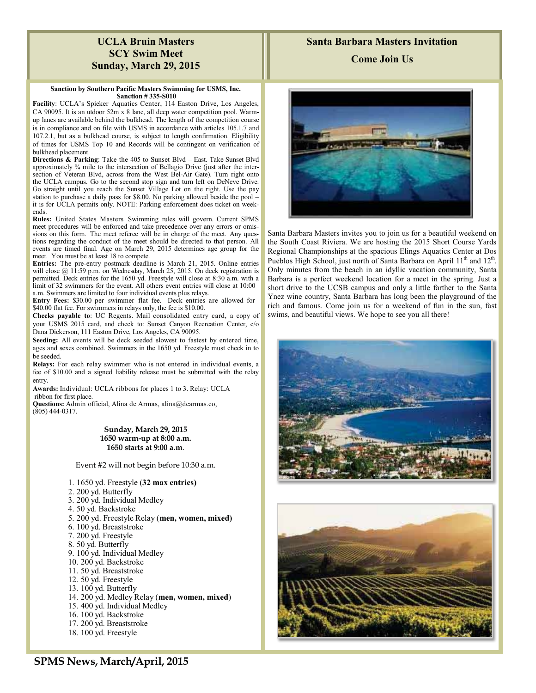### **UCLA Bruin Masters SCY Swim Meet Sunday, March 29, 2015**

### **Sanction by Southern Pacific Masters Swimming for USMS, Inc. Sanction # 335-S010**

**Facility**: UCLA's Spieker Aquatics Center, 114 Easton Drive, Los Angeles, CA 90095. It is an utdoor 52m x 8 lane, all deep water competition pool. Warmup lanes are available behind the bulkhead. The length of the competition course is in compliance and on file with USMS in accordance with articles 105.1.7 and 107.2.1, but as a bulkhead course, is subject to length confirmation. Eligibility of times for USMS Top 10 and Records will be contingent on verification of bulkhead placement.

**Directions & Parking**: Take the 405 to Sunset Blvd – East. Take Sunset Blvd approximately ¾ mile to the intersection of Bellagio Drive (just after the intersection of Veteran Blvd, across from the West Bel-Air Gate). Turn right onto the UCLA campus. Go to the second stop sign and turn left on DeNeve Drive. Go straight until you reach the Sunset Village Lot on the right. Use the pay station to purchase a daily pass for \$8.00. No parking allowed beside the pool – it is for UCLA permits only. NOTE: Parking enforcement does ticket on weekends.

**Rules:** United States Masters Swimming rules will govern. Current SPMS meet procedures will be enforced and take precedence over any errors or omissions on this form. The meet referee will be in charge of the meet. Any questions regarding the conduct of the meet should be directed to that person. All events are timed final. Age on March 29, 2015 determines age group for the meet. You must be at least 18 to compete.

**Entries:** The pre-entry postmark deadline is March 21, 2015. Online entries will close @ 11:59 p.m. on Wednesday, March 25, 2015. On deck registration is permitted. Deck entries for the 1650 yd. Freestyle will close at 8:30 a.m. with a limit of 32 swimmers for the event. All others event entries will close at 10:00 a.m. Swimmers are limited to four individual events plus relays.

**Entry Fees:** \$30.00 per swimmer flat fee. Deck entries are allowed for \$40.00 flat fee. For swimmers in relays only, the fee is \$10.00.

**Checks payable to**: UC Regents. Mail consolidated entry card, a copy of your USMS 2015 card, and check to: Sunset Canyon Recreation Center, c/o Dana Dickerson, 111 Easton Drive, Los Angeles, CA 90095.

**Seeding:** All events will be deck seeded slowest to fastest by entered time, ages and sexes combined. Swimmers in the 1650 yd. Freestyle must check in to be seeded.

**Relays:** For each relay swimmer who is not entered in individual events, a fee of \$10.00 and a signed liability release must be submitted with the relay entry.

**Awards:** Individual: UCLA ribbons for places 1 to 3. Relay: UCLA ribbon for first place.

**Questions:** Admin official, Alina de Armas, alina@dearmas.co, (805) 444-0317.

### **Sunday, March 29, 2015 1650 warm-up at 8:00 a.m. 1650 starts at 9:00 a.m**.

Event #2 will not begin before 10:30 a.m.

- 1. 1650 yd. Freestyle (**32 max entries)**
- 2. 200 yd. Butterfly
- 3. 200 yd. Individual Medley
- 4. 50 yd. Backstroke
- 5. 200 yd. Freestyle Relay (**men, women, mixed)**
- 6. 100 yd. Breaststroke
- 7. 200 yd. Freestyle
- 8. 50 yd. Butterfly
- 9. 100 yd. Individual Medley
- 10. 200 yd. Backstroke
- 11. 50 yd. Breaststroke
- 12. 50 yd. Freestyle
- 13. 100 yd. Butterfly
- 14. 200 yd. Medley Relay (**men, women, mixed**)
- 15. 400 yd. Individual Medley
- 16. 100 yd. Backstroke 17. 200 yd. Breaststroke
- 18. 100 yd. Freestyle





Santa Barbara Masters invites you to join us for a beautiful weekend on the South Coast Riviera. We are hosting the 2015 Short Course Yards Regional Championships at the spacious Elings Aquatics Center at Dos Pueblos High School, just north of Santa Barbara on April  $11<sup>th</sup>$  and  $12<sup>th</sup>$ . Only minutes from the beach in an idyllic vacation community, Santa Barbara is a perfect weekend location for a meet in the spring. Just a short drive to the UCSB campus and only a little farther to the Santa Ynez wine country, Santa Barbara has long been the playground of the rich and famous. Come join us for a weekend of fun in the sun, fast swims, and beautiful views. We hope to see you all there!



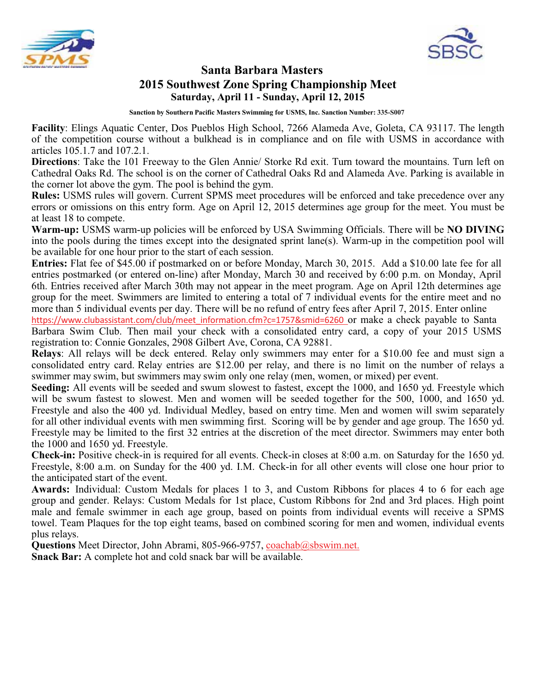



### **Santa Barbara Masters 2015 Southwest Zone Spring Championship Meet Saturday, April 11 - Sunday, April 12, 2015**

**Sanction by Southern Pacific Masters Swimming for USMS, Inc. Sanction Number: 335-S007**

**Facility**: Elings Aquatic Center, Dos Pueblos High School, 7266 Alameda Ave, Goleta, CA 93117. The length of the competition course without a bulkhead is in compliance and on file with USMS in accordance with articles 105.1.7 and 107.2.1.

**Directions**: Take the 101 Freeway to the Glen Annie/ Storke Rd exit. Turn toward the mountains. Turn left on Cathedral Oaks Rd. The school is on the corner of Cathedral Oaks Rd and Alameda Ave. Parking is available in the corner lot above the gym. The pool is behind the gym.

**Rules:** USMS rules will govern. Current SPMS meet procedures will be enforced and take precedence over any errors or omissions on this entry form. Age on April 12, 2015 determines age group for the meet. You must be at least 18 to compete.

**Warm-up:** USMS warm-up policies will be enforced by USA Swimming Officials. There will be **NO DIVING** into the pools during the times except into the designated sprint lane(s). Warm-up in the competition pool will be available for one hour prior to the start of each session.

**Entries:** Flat fee of \$45.00 if postmarked on or before Monday, March 30, 2015. Add a \$10.00 late fee for all entries postmarked (or entered on-line) after Monday, March 30 and received by 6:00 p.m. on Monday, April 6th. Entries received after March 30th may not appear in the meet program. Age on April 12th determines age group for the meet. Swimmers are limited to entering a total of 7 individual events for the entire meet and no more than 5 individual events per day. There will be no refund of entry fees after April 7, 2015. Enter online https://www.clubassistant.com/club/meet\_information.cfm?c=1757&smid=6260 or make a check payable to Santa Barbara Swim Club. Then mail your check with a consolidated entry card, a copy of your 2015 USMS

registration to: Connie Gonzales, 2908 Gilbert Ave, Corona, CA 92881.

**Relays**: All relays will be deck entered. Relay only swimmers may enter for a \$10.00 fee and must sign a consolidated entry card. Relay entries are \$12.00 per relay, and there is no limit on the number of relays a swimmer may swim, but swimmers may swim only one relay (men, women, or mixed) per event.

**Seeding:** All events will be seeded and swum slowest to fastest, except the 1000, and 1650 yd. Freestyle which will be swum fastest to slowest. Men and women will be seeded together for the 500, 1000, and 1650 yd. Freestyle and also the 400 yd. Individual Medley, based on entry time. Men and women will swim separately for all other individual events with men swimming first. Scoring will be by gender and age group. The 1650 yd. Freestyle may be limited to the first 32 entries at the discretion of the meet director. Swimmers may enter both the 1000 and 1650 yd. Freestyle.

**Check-in:** Positive check-in is required for all events. Check-in closes at 8:00 a.m. on Saturday for the 1650 yd. Freestyle, 8:00 a.m. on Sunday for the 400 yd. I.M. Check-in for all other events will close one hour prior to the anticipated start of the event.

**Awards:** Individual: Custom Medals for places 1 to 3, and Custom Ribbons for places 4 to 6 for each age group and gender. Relays: Custom Medals for 1st place, Custom Ribbons for 2nd and 3rd places. High point male and female swimmer in each age group, based on points from individual events will receive a SPMS towel. Team Plaques for the top eight teams, based on combined scoring for men and women, individual events plus relays.

**Questions** Meet Director, John Abrami, 805-966-9757, coachab@sbswim.net.

**Snack Bar:** A complete hot and cold snack bar will be available.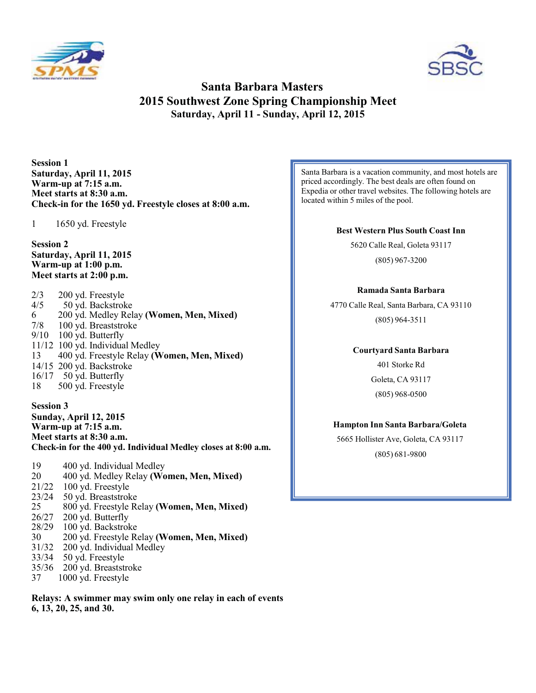



### **Santa Barbara Masters 2015 Southwest Zone Spring Championship Meet Saturday, April 11 - Sunday, April 12, 2015**

**Session 1 Saturday, April 11, 2015 Warm-up at 7:15 a.m. Meet starts at 8:30 a.m. Check-in for the 1650 yd. Freestyle closes at 8:00 a.m.**

1 1650 yd. Freestyle

**Session 2 Saturday, April 11, 2015 Warm-up at 1:00 p.m. Meet starts at 2:00 p.m.**

| 200 yd. Freestyle                           |
|---------------------------------------------|
| 50 yd. Backstroke                           |
| 200 yd. Medley Relay (Women, Men, Mixed)    |
| 100 yd. Breaststroke                        |
| 100 yd. Butterfly                           |
| 11/12 100 yd. Individual Medley             |
| 400 yd. Freestyle Relay (Women, Men, Mixed) |
| 14/15 200 yd. Backstroke                    |
| $16/17$ 50 yd. Butterfly                    |
| 500 yd. Freestyle                           |
|                                             |

**Session 3 Sunday, April 12, 2015 Warm-up at 7:15 a.m. Meet starts at 8:30 a.m. Check-in for the 400 yd. Individual Medley closes at 8:00 a.m.**

19 400 yd. Individual Medley<br>20 400 yd. Medley Relay (Wo 20 400 yd. Medley Relay **(Women, Men, Mixed)** 21/22 100 yd. Freestyle<br>23/24 50 yd. Breaststrok 23/24 50 yd. Breaststroke<br>25 800 yd. Freestyle Re 25 800 yd. Freestyle Relay **(Women, Men, Mixed)** 26/27 200 yd. Butterfly<br>28/29 100 yd. Backstrol 100 yd. Backstroke 30 200 yd. Freestyle Relay **(Women, Men, Mixed)** 31/32 200 yd. Individual Medley<br>33/34 50 yd. Freestyle 50 yd. Freestyle 35/36 200 yd. Breaststroke<br>37 1000 yd. Freestyle

1000 yd. Freestyle

**Relays: A swimmer may swim only one relay in each of events 6, 13, 20, 25, and 30.**

Santa Barbara is a vacation community, and most hotels are priced accordingly. The best deals are often found on Expedia or other travel websites. The following hotels are located within 5 miles of the pool.

### **Best Western Plus South Coast Inn**

5620 Calle Real, Goleta 93117 (805) 967-3200

### **Ramada Santa Barbara**

4770 Calle Real, Santa Barbara, CA 93110 (805) 964-3511

### **Courtyard Santa Barbara**

401 Storke Rd Goleta, CA 93117 (805) 968-0500

### **Hampton Inn Santa Barbara/Goleta**

(805) 681-9800 5665 Hollister Ave, Goleta, CA 93117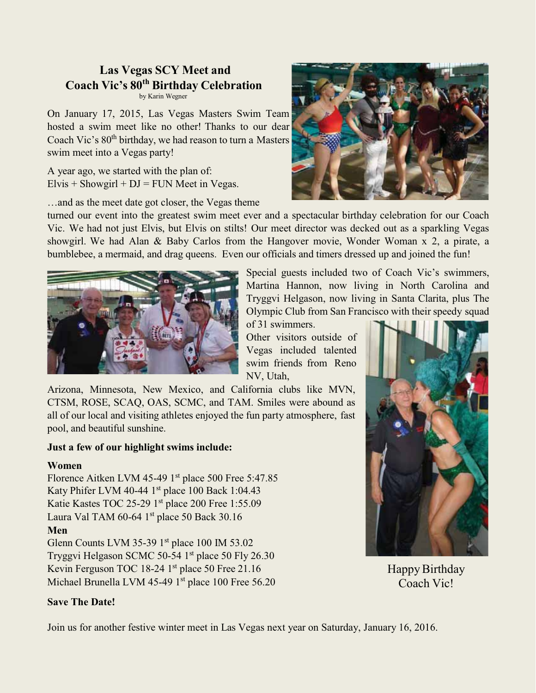### **Las Vegas SCY Meet and Coach Vic's 80th Birthday Celebration** by Karin Wegner

On January 17, 2015, Las Vegas Masters Swim Team hosted a swim meet like no other! Thanks to our dear Coach Vic's 80th birthday, we had reason to turn a Masters swim meet into a Vegas party!

A year ago, we started with the plan of:  $Elvis + Showgirl + DJ = FUN Meet in Vegas.$ 

…and as the meet date got closer, the Vegas theme

turned our event into the greatest swim meet ever and a spectacular birthday celebration for our Coach Vic. We had not just Elvis, but Elvis on stilts! Our meet director was decked out as a sparkling Vegas showgirl. We had Alan & Baby Carlos from the Hangover movie, Wonder Woman x 2, a pirate, a bumblebee, a mermaid, and drag queens. Even our officials and timers dressed up and joined the fun!



Special guests included two of Coach Vic's swimmers, Martina Hannon, now living in North Carolina and Tryggvi Helgason, now living in Santa Clarita, plus The Olympic Club from San Francisco with their speedy squad

of 31 swimmers. Other visitors outside of Vegas included talented swim friends from Reno NV, Utah,

Arizona, Minnesota, New Mexico, and California clubs like MVN, CTSM, ROSE, SCAQ, OAS, SCMC, and TAM. Smiles were abound as all of our local and visiting athletes enjoyed the fun party atmosphere, fast pool, and beautiful sunshine.

### **Just a few of our highlight swims include:**

### **Women**

Florence Aitken LVM 45-49 1<sup>st</sup> place 500 Free 5:47.85 Katy Phifer LVM 40-44  $1<sup>st</sup>$  place 100 Back 1:04.43 Katie Kastes TOC 25-29 1st place 200 Free 1:55.09 Laura Val TAM  $60-64$  1st place 50 Back 30.16 **Men** Glenn Counts LVM 35-39 1<sup>st</sup> place 100 IM 53.02

Tryggvi Helgason SCMC 50-54  $1<sup>st</sup>$  place 50 Fly 26.30 Kevin Ferguson TOC 18-24 1<sup>st</sup> place 50 Free 21.16 Michael Brunella LVM 45-49 1<sup>st</sup> place 100 Free 56.20

Happy Birthday Coach Vic!

### **Save The Date!**

Join us for another festive winter meet in Las Vegas next year on Saturday, January 16, 2016.

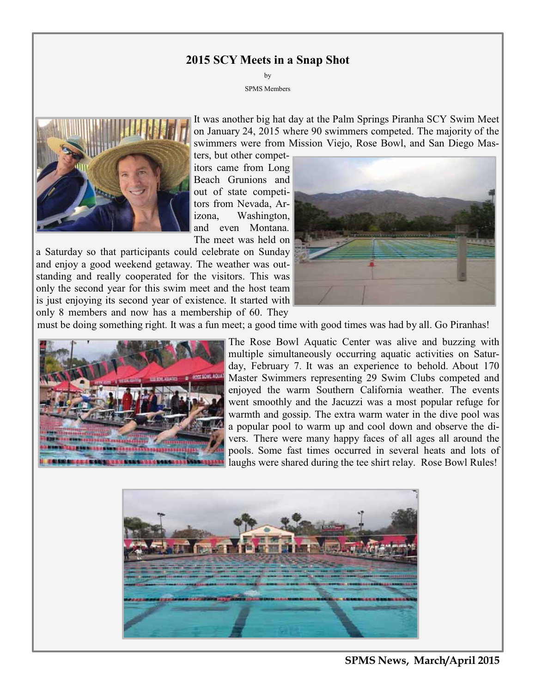### **2015 SCY Meets in a Snap Shot**

by SPMS Members



It was another big hat day at the Palm Springs Piranha SCY Swim Meet on January 24, 2015 where 90 swimmers competed. The majority of the swimmers were from Mission Viejo, Rose Bowl, and San Diego Mas-

ters, but other competitors came from Long Beach Grunions and out of state competitors from Nevada, Arizona, Washington, and even Montana. The meet was held on

a Saturday so that participants could celebrate on Sunday and enjoy a good weekend getaway. The weather was outstanding and really cooperated for the visitors. This was only the second year for this swim meet and the host team is just enjoying its second year of existence. It started with only 8 members and now has a membership of 60. They



must be doing something right. It was a fun meet; a good time with good times was had by all. Go Piranhas!



The Rose Bowl Aquatic Center was alive and buzzing with multiple simultaneously occurring aquatic activities on Saturday, February 7. It was an experience to behold. About 170 Master Swimmers representing 29 Swim Clubs competed and enjoyed the warm Southern California weather. The events went smoothly and the Jacuzzi was a most popular refuge for warmth and gossip. The extra warm water in the dive pool was a popular pool to warm up and cool down and observe the divers. There were many happy faces of all ages all around the pools. Some fast times occurred in several heats and lots of laughs were shared during the tee shirt relay. Rose Bowl Rules!



**SPMS News, March/April 2015**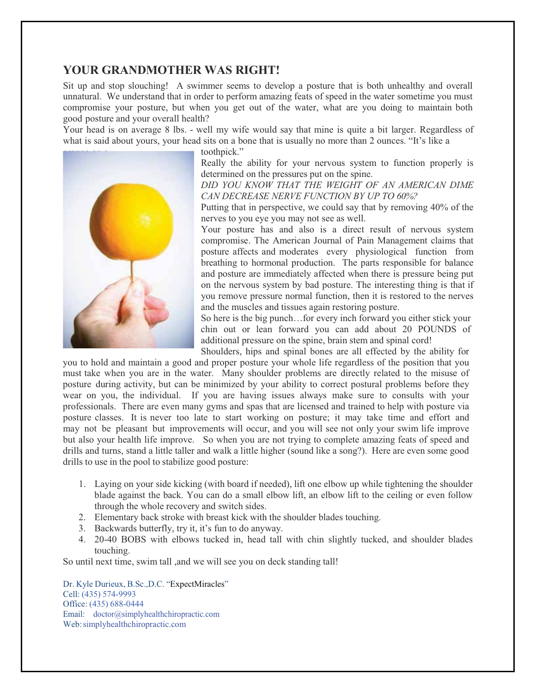### **YOUR GRANDMOTHER WAS RIGHT!**

Sit up and stop slouching! A swimmer seems to develop a posture that is both unhealthy and overall unnatural. We understand that in order to perform amazing feats of speed in the water sometime you must compromise your posture, but when you get out of the water, what are you doing to maintain both good posture and your overall health?

Your head is on average 8 lbs. - well my wife would say that mine is quite a bit larger. Regardless of what is said about yours, your head sits on a bone that is usually no more than 2 ounces. "It's like a



toothpick."

Really the ability for your nervous system to function properly is determined on the pressures put on the spine.

*DID YOU KNOW THAT THE WEIGHT OF AN AMERICAN DIME CAN DECREASE NERVE FUNCTION BY UP TO 60%?*

Putting that in perspective, we could say that by removing 40% of the nerves to you eye you may not see as well.

Your posture has and also is a direct result of nervous system compromise. The American Journal of Pain Management claims that posture affects and moderates every physiological function from breathing to hormonal production. The parts responsible for balance and posture are immediately affected when there is pressure being put on the nervous system by bad posture. The interesting thing is that if you remove pressure normal function, then it is restored to the nerves and the muscles and tissues again restoring posture.

So here is the big punch…for every inch forward you either stick your chin out or lean forward you can add about 20 POUNDS of additional pressure on the spine, brain stem and spinal cord!

Shoulders, hips and spinal bones are all effected by the ability for you to hold and maintain a good and proper posture your whole life regardless of the position that you must take when you are in the water. Many shoulder problems are directly related to the misuse of posture during activity, but can be minimized by your ability to correct postural problems before they wear on you, the individual. If you are having issues always make sure to consults with your professionals. There are even many gyms and spas that are licensed and trained to help with posture via posture classes. It is never too late to start working on posture; it may take time and effort and may not be pleasant but improvements will occur, and you will see not only your swim life improve but also your health life improve. So when you are not trying to complete amazing feats of speed and drills and turns, stand a little taller and walk a little higher (sound like a song?). Here are even some good drills to use in the pool to stabilize good posture:

- 1. Laying on your side kicking (with board if needed), lift one elbow up while tightening the shoulder blade against the back. You can do a small elbow lift, an elbow lift to the ceiling or even follow through the whole recovery and switch sides.
- 2. Elementary back stroke with breast kick with the shoulder blades touching.
- 3. Backwards butterfly, try it, it's fun to do anyway.
- 4. 20-40 BOBS with elbows tucked in, head tall with chin slightly tucked, and shoulder blades touching.

So until next time, swim tall ,and we will see you on deck standing tall!

Dr. Kyle Durieux, B.Sc.,D.C. "ExpectMiracles" Cell: (435) 574-9993 Office: (435) 688-0444 Email: doctor@simplyhealthchiropractic.com Web:simplyhealthchiropractic.com